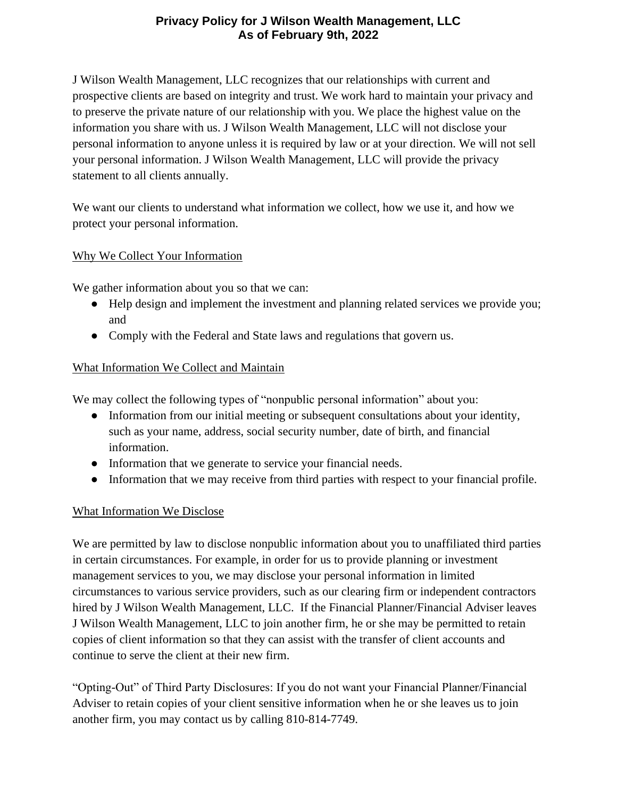# **Privacy Policy for J Wilson Wealth Management, LLC As of February 9th, 2022**

J Wilson Wealth Management, LLC recognizes that our relationships with current and prospective clients are based on integrity and trust. We work hard to maintain your privacy and to preserve the private nature of our relationship with you. We place the highest value on the information you share with us. J Wilson Wealth Management, LLC will not disclose your personal information to anyone unless it is required by law or at your direction. We will not sell your personal information. J Wilson Wealth Management, LLC will provide the privacy statement to all clients annually.

We want our clients to understand what information we collect, how we use it, and how we protect your personal information.

### Why We Collect Your Information

We gather information about you so that we can:

- Help design and implement the investment and planning related services we provide you; and
- Comply with the Federal and State laws and regulations that govern us.

### What Information We Collect and Maintain

We may collect the following types of "nonpublic personal information" about you:

- Information from our initial meeting or subsequent consultations about your identity, such as your name, address, social security number, date of birth, and financial information.
- Information that we generate to service your financial needs.
- Information that we may receive from third parties with respect to your financial profile.

### What Information We Disclose

We are permitted by law to disclose nonpublic information about you to unaffiliated third parties in certain circumstances. For example, in order for us to provide planning or investment management services to you, we may disclose your personal information in limited circumstances to various service providers, such as our clearing firm or independent contractors hired by J Wilson Wealth Management, LLC. If the Financial Planner/Financial Adviser leaves J Wilson Wealth Management, LLC to join another firm, he or she may be permitted to retain copies of client information so that they can assist with the transfer of client accounts and continue to serve the client at their new firm.

"Opting-Out" of Third Party Disclosures: If you do not want your Financial Planner/Financial Adviser to retain copies of your client sensitive information when he or she leaves us to join another firm, you may contact us by calling 810-814-7749.